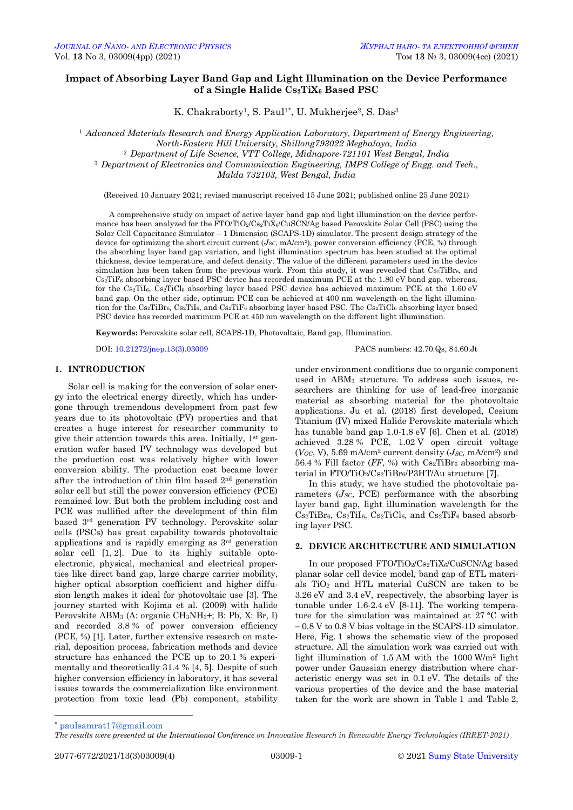# **Impact of Absorbing Layer Band Gap and Light Illumination on the Device Performance of a Single Halide Cs2TiX<sup>6</sup> Based PSC**

K. Chakraborty<sup>1</sup>, S. Paul<sup>1\*</sup>, U. Mukherjee<sup>2</sup>, S. Das<sup>3</sup>

<sup>1</sup> *Advanced Materials Research and Energy Application Laboratory, Department of Energy Engineering, North-Eastern Hill University, Shillong793022 Meghalaya, India* <sup>2</sup> *Department of Life Science, VTT College, Midnapore-721101 West Bengal, India* <sup>3</sup> *Department of Electronics and Communication Engineering, IMPS College of Engg. and Tech., Malda 732103, West Bengal, India*

(Received 10 January 2021; revised manuscript received 15 June 2021; published online 25 June 2021)

A comprehensive study on impact of active layer band gap and light illumination on the device performance has been analyzed for the FTO/TiO<sub>2</sub>/Cs<sub>2</sub>TiX<sub>6</sub>/CuSCN/Ag based Perovskite Solar Cell (PSC) using the Solar Cell Capacitance Simulator – 1 Dimension (SCAPS-1D) simulator. The present design strategy of the device for optimizing the short circuit current (*JSC*, mA/cm2), power conversion efficiency (PCE, %) through the absorbing layer band gap variation, and light illumination spectrum has been studied at the optimal thickness, device temperature, and defect density. The value of the different parameters used in the device simulation has been taken from the previous work. From this study, it was revealed that  $Cs<sub>2</sub>TiBr<sub>6</sub>$ , and  $Cs<sub>2</sub>TiF<sub>6</sub>$  absorbing layer based PSC device has recorded maximum PCE at the 1.80 eV band gap, whereas, for the Cs<sub>2</sub>TiI<sub>6</sub>, C<sub>s2</sub>TiCl<sub>6</sub> absorbing layer based PSC device has achieved maximum PCE at the 1.60 eV band gap. On the other side, optimum PCE can be achieved at 400 nm wavelength on the light illumination for the Cs<sub>2</sub>TiBr<sub>6</sub>, Cs<sub>2</sub>TiI<sub>6</sub>, and Cs<sub>2</sub>TiF<sub>6</sub> absorbing layer based PSC. The Cs<sub>2</sub>TiCl<sub>6</sub> absorbing layer based PSC device has recorded maximum PCE at 450 nm wavelength on the different light illumination.

**Keywords:** Perovskite solar cell, SCAPS-1D, Photovoltaic, Band gap, Illumination.

DOI[: 10.21272/jnep.13\(3\).03009](https://doi.org/10.21272/jnep.13(3).03009) PACS numbers: 42.70.Qs, 84.60.Jt

# **1. INTRODUCTION**

Solar cell is making for the conversion of solar energy into the electrical energy directly, which has undergone through tremendous development from past few years due to its photovoltaic (PV) properties and that creates a huge interest for researcher community to give their attention towards this area. Initially, 1st generation wafer based PV technology was developed but the production cost was relatively higher with lower conversion ability. The production cost became lower after the introduction of thin film based 2nd generation solar cell but still the power conversion efficiency (PCE) remained low. But both the problem including cost and PCE was nullified after the development of thin film based 3rd generation PV technology. Perovskite solar cells (PSCs) has great capability towards photovoltaic applications and is rapidly emerging as 3rd generation solar cell [1, 2]. Due to its highly suitable optoelectronic, physical, mechanical and electrical properties like direct band gap, large charge carrier mobility, higher optical absorption coefficient and higher diffusion length makes it ideal for photovoltaic use [3]. The journey started with Kojima et al. (2009) with halide Perovskite ABM<sup>3</sup> (A: organic CH3NH3+; B: Pb, X: Br, I) and recorded 3.8 % of power conversion efficiency (PCE, %) [1]. Later, further extensive research on material, deposition process, fabrication methods and device structure has enhanced the PCE up to 20.1 % experimentally and theoretically 31.4 % [4, 5]. Despite of such higher conversion efficiency in laboratory, it has several issues towards the commercialization like environment protection from toxic lead (Pb) component, stability

under environment conditions due to organic component used in ABM<sup>3</sup> structure. To address such issues, researchers are thinking for use of lead-free inorganic material as absorbing material for the photovoltaic applications. Ju et al. (2018) first developed, Cesium Titanium (IV) mixed Halide Perovskite materials which has tunable band gap 1.0-1.8 eV [6]. Chen et al. (2018) achieved 3.28 % PCE, 1.02 V open circuit voltage  $(Voc, V)$ , 5.69 mA/cm<sup>2</sup> current density  $(Jsc, mA/cm^2)$  and 56.4 % Fill factor (*FF*, %) with Cs2TiBr<sup>6</sup> absorbing material in FTO/TiO2/Cs2TiBr<sub>6</sub>/P3HT/Au structure [7].

In this study, we have studied the photovoltaic parameters (*JSC*, PCE) performance with the absorbing layer band gap, light illumination wavelength for the  $Cs<sub>2</sub>TiBr<sub>6</sub>, Cs<sub>2</sub>TiI<sub>6</sub>, Cs<sub>2</sub>TiCl<sub>6</sub>, and Cs<sub>2</sub>TiF<sub>6</sub> based absorb$ ing layer PSC.

## **2. DEVICE ARCHITECTURE AND SIMULATION**

In our proposed FTO/TiO2/Cs2TiX6/CuSCN/Ag based planar solar cell device model, band gap of ETL materials TiO<sup>2</sup> and HTL material CuSCN are taken to be 3.26 eV and 3.4 eV, respectively, the absorbing layer is tunable under 1.6-2.4 eV [8-11]. The working temperature for the simulation was maintained at 27 °C with 0.8 V to 0.8 V bias voltage in the SCAPS-1D simulator. Here, Fig. 1 shows the schematic view of the proposed structure. All the simulation work was carried out with light illumination of 1.5 AM with the 1000 W/m<sup>2</sup> light power under Gaussian energy distribution where characteristic energy was set in 0.1 eV. The details of the various properties of the device and the base material taken for the work are shown in Table 1 and Table 2,

1

<sup>\*</sup> [paulsamrat17@gmail.com](mailto:paulsamrat17@gmail.com)

<span id="page-0-3"></span><span id="page-0-2"></span><span id="page-0-1"></span><span id="page-0-0"></span>*The results were presented at the International Conference on Innovative Research in Renewable Energy Technologies (IRRET-2021)*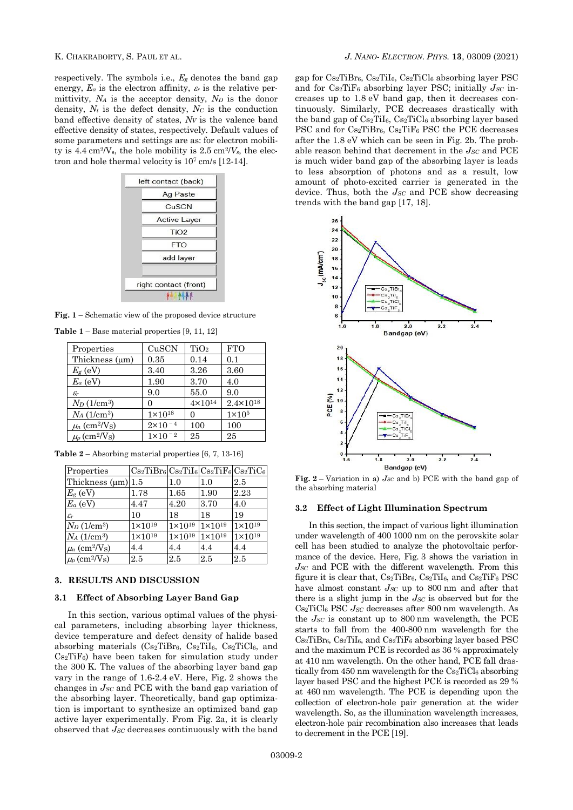respectively. The symbols i.e.,  $E_g$  denotes the band gap energy,  $E_a$  is the electron affinity,  $\varepsilon_r$  is the relative permittivity, *N<sup>A</sup>* is the acceptor density, *N<sup>D</sup>* is the donor density,  $N_t$  is the defect density,  $N_c$  is the conduction band effective density of states, *N<sup>V</sup>* is the valence band effective density of states, respectively. Default values of some parameters and settings are as: for electron mobility is  $4.4 \text{ cm}^2/\text{V}_s$ , the hole mobility is  $2.5 \text{ cm}^2/\text{V}_s$ , the electron and hole thermal velocity is 10<sup>7</sup> cm/s [12-14].

| Ag Paste              |
|-----------------------|
| CuSCN                 |
| <b>Active Layer</b>   |
| TiO <sub>2</sub>      |
| FTO                   |
| add layer             |
| right contact (front) |

**Fig. 1** – Schematic view of the proposed device structure

| <b>Table 1</b> – Base material properties $[9, 11, 12]$ |  |  |  |  |  |
|---------------------------------------------------------|--|--|--|--|--|
|---------------------------------------------------------|--|--|--|--|--|

| Properties                                            | CuSCN                 | TiO <sub>2</sub>   | <b>FTO</b>           |
|-------------------------------------------------------|-----------------------|--------------------|----------------------|
| Thickness $(\mu m)$                                   | 0.35                  | 0.14               | 0.1                  |
| $E_g$ (eV)                                            | 3.40                  | 3.26               | 3.60                 |
| $E_a$ (eV)                                            | 1.90                  | 3.70               | 4.0                  |
| $\varepsilon_r$                                       | 9.0                   | 55.0               | 9.0                  |
| $N_D$ (1/cm <sup>3</sup> )                            | $\mathbf{\Omega}$     | $4 \times 10^{14}$ | $2.4 \times 10^{18}$ |
| $N_A$ (1/cm <sup>3</sup> )                            | $1 \times 10^{18}$    | $\mathbf{\Omega}$  | $1\times105$         |
| $\mu$ <sub>n</sub> (cm <sup>2</sup> /V <sub>S</sub> ) | $2 \times 10^{-4}$    | 100                | 100                  |
| $\mu_p$ (cm <sup>2</sup> /V <sub>S</sub> )            | $1 \times 10$<br>$-2$ | 25                 | 25                   |

| Properties                                            | $Cs2TiBr6 Cs2TiI6 Cs2TiF6 Cs2TiC6$ |                    |                    |                    |
|-------------------------------------------------------|------------------------------------|--------------------|--------------------|--------------------|
| Thickness $(\mu m)$ 1.5                               |                                    | $1.0\,$            | 1.0                | 2.5                |
| $E_g$ (eV)                                            | 1.78                               | 1.65               | 1.90               | 2.23               |
| $E_a$ (eV)                                            | 4.47                               | 4.20               | 3.70               | 4.0                |
| $\varepsilon$ r                                       | 10                                 | 18                 | 18                 | 19                 |
| $N_D$ (1/cm <sup>3</sup> )                            | $1 \times 10^{19}$                 | $1 \times 10^{19}$ | $1 \times 10^{19}$ | $1 \times 10^{19}$ |
| $N_A$ (1/cm <sup>3</sup> )                            | $1 \times 10^{19}$                 | $1 \times 10^{19}$ | $1 \times 10^{19}$ | $1 \times 10^{19}$ |
| $\mu$ <sub>n</sub> (cm <sup>2</sup> /V <sub>S</sub> ) | 4.4                                | 4.4                | 4.4                | 4.4                |
| $\mu_p$ (cm <sup>2</sup> /V <sub>S</sub> )            | 2.5                                | 2.5                | 2.5                | 2.5                |

**Table 2** – Absorbing material properties [6, 7, 13-16]

## **3. RESULTS AND DISCUSSION**

## **3.1 Effect of Absorbing Layer Band Gap**

In this section, various optimal values of the physical parameters, including absorbing layer thickness, device temperature and defect density of halide based absorbing materials  $(Cs_2TiBr_6, Cs_2TiI_6, Cs_2TiCl_6, and$ Cs2TiF6) have been taken for simulation study under the 300 K. The values of the absorbing layer band gap vary in the range of 1.6-2.4 eV. Here, Fig. 2 shows the changes in *JSC* and PCE with the band gap variation of the absorbing layer. Theoretically, band gap optimization is important to synthesize an optimized band gap active layer experimentally. From Fig. 2a, it is clearly observed that *JSC* decreases continuously with the band

gap for Cs2TiBr6, Cs2TiI6, Cs2TiCl<sup>6</sup> absorbing layer PSC and for Cs2TiF<sup>6</sup> absorbing layer PSC; initially *JSC* increases up to 1.8 eV band gap, then it decreases continuously. Similarly, PCE decreases drastically with the band gap of  $Cs_2TiI_6$ ,  $Cs_2TiCl_6$  absorbing layer based PSC and for Cs2TiBr6, Cs2TiF<sup>6</sup> PSC the PCE decreases after the 1.8 eV which can be seen in Fig. 2b. The probable reason behind that decrement in the *JSC* and PCE is much wider band gap of the absorbing layer is leads to less absorption of photons and as a result, low amount of photo-excited carrier is generated in the device. Thus, both the *JSC* and PCE show decreasing trends with the band gap [17, 18].



**Fig. 2** – Variation in a) *JSC* and b) PCE with the band gap of the absorbing material

### **3.2 Effect of Light Illumination Spectrum**

In this section, the impact of various light illumination under wavelength of 400 1000 nm on the perovskite solar cell has been studied to analyze the photovoltaic performance of the device. Here, Fig. 3 shows the variation in *JSC* and PCE with the different wavelength. From this figure it is clear that,  $Cs<sub>2</sub>TiBr<sub>6</sub>, Cs<sub>2</sub>TiI<sub>6</sub>, and Cs<sub>2</sub>TiF<sub>6</sub> PSC$ have almost constant *JSC* up to 800 nm and after that there is a slight jump in the *JSC* is observed but for the Cs2TiCl<sup>6</sup> PSC *JSC* decreases after 800 nm wavelength. As the *JSC* is constant up to 800 nm wavelength, the PCE starts to fall from the 400-800 nm wavelength for the Cs2TiBr6, Cs2TiI6, and Cs2TiF<sup>6</sup> absorbing layer based PSC and the maximum PCE is recorded as 36 % approximately at 410 nm wavelength. On the other hand, PCE fall drastically from  $450 \text{ nm}$  wavelength for the Cs<sub>2</sub>TiCl<sub>6</sub> absorbing layer based PSC and the highest PCE is recorded as 29 % at 460 nm wavelength. The PCE is depending upon the collection of electron-hole pair generation at the wider wavelength. So, as the illumination wavelength increases, electron-hole pair recombination also increases that leads to decrement in the PCE [19].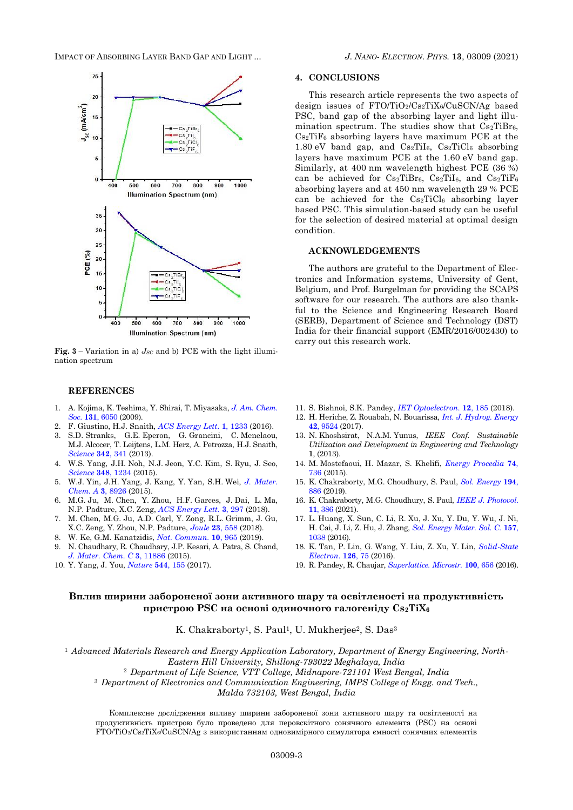IMPACT OF ABSORBING LAYER BAND GAP AND LIGHT ... *J. NANO- ELECTRON. PHYS.* **[13](#page-0-2)**, [03009](#page-0-2) [\(2021\)](#page-0-2)



**Fig.** 3 – Variation in a)  $J_{SC}$  and b) PCE with the light illumination spectrum

#### **REFERENCES**

- 1. A. Kojima, K. Teshima, Y. Shirai, T. Miyasaka, *[J. Am. Chem.](https://doi.org/10.1021/ja809598r)  Soc*. **131**, [6050](https://doi.org/10.1021/ja809598r) (2009).
- 2. F. Giustino, H.J. Snaith, *[ACS Energy Lett](https://doi.org/10.1021/acsenergylett.6b00499)*. **1**, 1233 (2016).
- 3. S.D. Stranks, G.E. Eperon, G. Grancini, C. Menelaou, M.J. Alcocer, T. Leijtens, L.M. Herz, A. Petrozza, H.J. Snaith, *[Science](https://doi.org/10.1126/science.1243982)* **342**, 341 (2013).
- 4. W.S. Yang, J.H. Noh, N.J. Jeon, Y.C. Kim, S. Ryu, J. Seo, *[Science](https://doi.org/10.1126/science.aaa9272)* **348**, 1234 (2015).
- 5. W.J. Yin, J.H. Yang, J. Kang, Y. Yan, S.H. Wei, *[J. Mater.](https://doi.org/10.1039/C4TA05033A)  [Chem. A](https://doi.org/10.1039/C4TA05033A)* **3**, 8926 (2015).
- 6. M.G. Ju, M. Chen, Y. Zhou, H.F. Garces, J. Dai, L. Ma, N.P. Padture, X.C. Zeng, *[ACS Energy Lett.](https://doi.org/10.1021/acsenergylett.7b01167)* **3**, 297 (2018).
- 7. M. Chen, M.G. Ju, A.D. Carl, Y. Zong, R.L. Grimm, J. Gu, X.C. Zeng, Y. Zhou, N.P. Padture, *[Joule](https://doi.org/10.1016/j.joule.2018.01.009)* **23**, 558 (2018).
- 8. W. Ke, G.M. Kanatzidis, *[Nat. Commun.](https://doi.org/10.1038/s41467-019-08918-3)* **10**, 965 (2019). 9. N. Chaudhary, R. Chaudhary, J.P. Kesari, A. Patra, S. Chand,
- *[J. Mater. Chem. C](https://doi.org/10.1039/C5TC03124A)* **3**, 11886 (2015).
- 10. Y. Yang, J. You, *[Nature](https://doi.org/10.1038/544155a)* **544**, 155 (2017).

#### **4. CONCLUSIONS**

This research article represents the two aspects of design issues of FTO/TiO2/Cs2TiX6/CuSCN/Ag based PSC, band gap of the absorbing layer and light illumination spectrum. The studies show that  $Cs<sub>2</sub>TiBr<sub>6</sub>$ ,  $Cs<sub>2</sub>TiF<sub>6</sub>$  absorbing layers have maximum PCE at the 1.80 eV band gap, and  $Cs_2TiI_6$ ,  $Cs_2TiCl_6$  absorbing layers have maximum PCE at the 1.60 eV band gap. Similarly, at 400 nm wavelength highest PCE (36 %) can be achieved for  $Cs_2TiBr_6$ ,  $Cs_2TiI_6$ , and  $Cs_2TiF_6$ absorbing layers and at 450 nm wavelength 29 % PCE can be achieved for the  $Cs<sub>2</sub>TiCl<sub>6</sub>$  absorbing layer based PSC. This simulation-based study can be useful for the selection of desired material at optimal design condition.

## **ACKNOWLEDGEMENTS**

The authors are grateful to the Department of Electronics and Information systems, University of Gent, Belgium, and Prof. Burgelman for providing the SCAPS software for our research. The authors are also thankful to the Science and Engineering Research Board (SERB), Department of Science and Technology (DST) India for their financial support (EMR/2016/002430) to carry out this research work.

- 11. S. Bishnoi, S.K. Pandey, *[IET Optoelectron.](https://doi.org/10.1049/iet-opt.2017.0135)* **12**, 185 (2018).
- 12. H. Heriche, Z. Rouabah, N. Bouarissa, *[Int. J. Hydrog.](https://doi.org/10.1016/j.ijhydene.2017.02.099) Energy* **42**[, 9524](https://doi.org/10.1016/j.ijhydene.2017.02.099) (2017).
- 13. N. Khoshsirat, N.A.M. Yunus, *IEEE Conf. Sustainable Utilization and Development in Engineering and Technology* **1**, (2013).
- 14. M. Mostefaoui, H. Mazar, S. Khelifi, *[Energy Procedia](https://doi.org/10.1016/j.egypro.2015.07.809)* **74**, [736](https://doi.org/10.1016/j.egypro.2015.07.809) (2015).
- 15. K. Chakraborty, M.G. Choudhury, S. Paul, *Sol. [Energy](https://doi.org/10.1016/j.solener.2019.11.005)* **194**, [886](https://doi.org/10.1016/j.solener.2019.11.005) (2019).
- 16. K. Chakraborty, M.G. Choudhury, S. Paul, *[IEEE J. Photovol](https://doi.org/10.1109/JPHOTOV.2021.3050268)*. **11**[, 386](https://doi.org/10.1109/JPHOTOV.2021.3050268) (2021).
- 17. L. Huang, X. Sun, C. Li, R. Xu, J. Xu, Y. Du, Y. Wu, J. Ni, H. Cai, J. Li, Z. Hu, J. Zhang, *[Sol. Energy Mater.](https://doi.org/10.1016/j.solmat.2016.08.025) Sol. C.* **157**, [1038](https://doi.org/10.1016/j.solmat.2016.08.025) (2016).
- 18. K. Tan, P. Lin, G. Wang, Y. Liu, Z. Xu, Y. Lin, *[Solid-State](https://doi.org/10.1016/j.sse.2016.09.012)  [Electron](https://doi.org/10.1016/j.sse.2016.09.012)*. **126**, 75 (2016).
- 19. R. Pandey, R. Chaujar, *[Superlattice.](https://doi.org/10.1016/j.spmi.2016.10.033) Microstr.* **100**, 656 (2016).

# **Вплив ширини забороненої зони активного шару та освітленості на продуктивність пристрою PSC на основі одиночного галогеніду Cs2TiX<sup>6</sup>**

K. Chakraborty<sup>1</sup>, S. Paul<sup>1</sup>, U. Mukherjee<sup>2</sup>, S. Das<sup>3</sup>

<sup>1</sup> *Advanced Materials Research and Energy Application Laboratory, Department of Energy Engineering, North-Eastern Hill University, Shillong-793022 Meghalaya, India*

<sup>2</sup> *Department of Life Science, VTT College, Midnapore-721101 West Bengal, India*

<sup>3</sup> *Department of Electronics and Communication Engineering, IMPS College of Engg. and Tech.,* 

*Malda 732103, West Bengal, India*

Комплексне дослідження впливу ширини забороненої зони активного шару та освітленості на продуктивність пристрою було проведено для перовскітного сонячного елемента (PSC) на основі FTO/TiO2/Cs2TiX6/CuSCN/Ag з використанням одновимірного симулятора ємності сонячних елементів